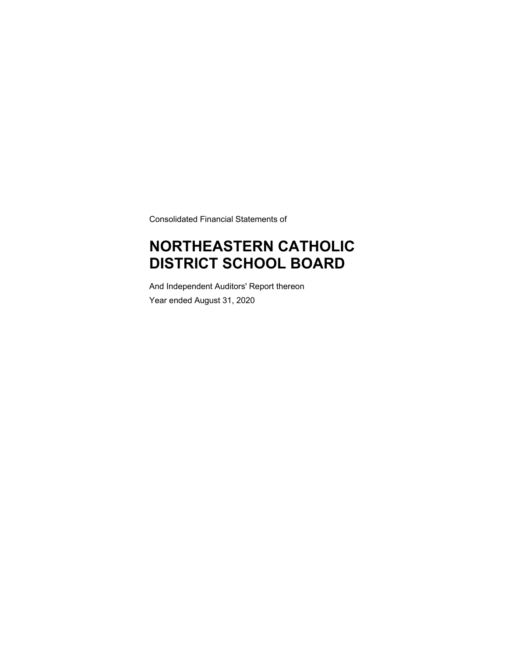Consolidated Financial Statements of

# **NORTHEASTERN CATHOLIC DISTRICT SCHOOL BOARD**

And Independent Auditors' Report thereon Year ended August 31, 2020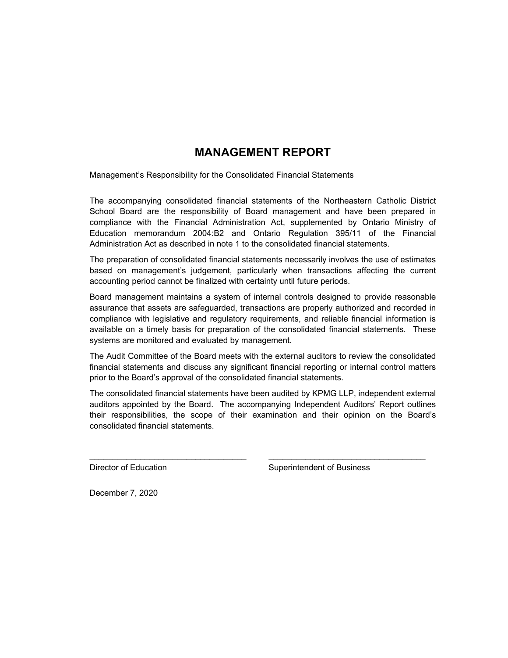### **MANAGEMENT REPORT**

Management's Responsibility for the Consolidated Financial Statements

The accompanying consolidated financial statements of the Northeastern Catholic District School Board are the responsibility of Board management and have been prepared in compliance with the Financial Administration Act, supplemented by Ontario Ministry of Education memorandum 2004:B2 and Ontario Regulation 395/11 of the Financial Administration Act as described in note 1 to the consolidated financial statements.

The preparation of consolidated financial statements necessarily involves the use of estimates based on management's judgement, particularly when transactions affecting the current accounting period cannot be finalized with certainty until future periods.

Board management maintains a system of internal controls designed to provide reasonable assurance that assets are safeguarded, transactions are properly authorized and recorded in compliance with legislative and regulatory requirements, and reliable financial information is available on a timely basis for preparation of the consolidated financial statements. These systems are monitored and evaluated by management.

The Audit Committee of the Board meets with the external auditors to review the consolidated financial statements and discuss any significant financial reporting or internal control matters prior to the Board's approval of the consolidated financial statements.

The consolidated financial statements have been audited by KPMG LLP, independent external auditors appointed by the Board. The accompanying Independent Auditors' Report outlines their responsibilities, the scope of their examination and their opinion on the Board's consolidated financial statements.

\_\_\_\_\_\_\_\_\_\_\_\_\_\_\_\_\_\_\_\_\_\_\_\_\_\_\_\_\_\_\_\_\_\_ \_\_\_\_\_\_\_\_\_\_\_\_\_\_\_\_\_\_\_\_\_\_\_\_\_\_\_\_\_\_\_\_\_\_

Director of Education The Superintendent of Business

December 7, 2020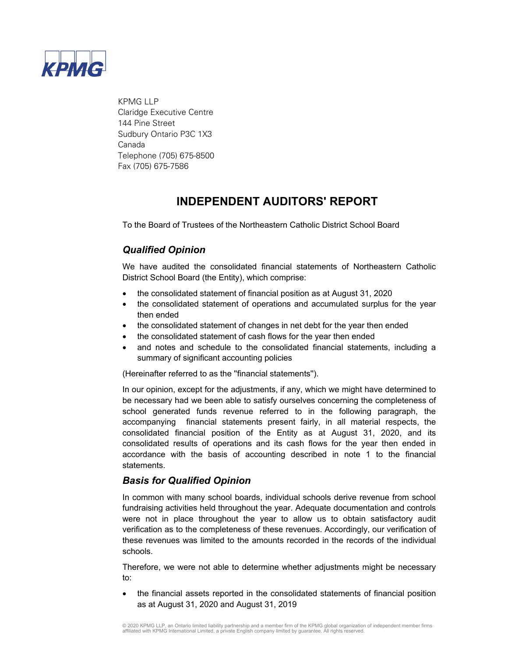

 KPMG LLP Claridge Executive Centre 144 Pine Street Sudbury Ontario P3C 1X3 Canada Telephone (705) 675-8500 Fax (705) 675-7586

### **INDEPENDENT AUDITORS' REPORT**

To the Board of Trustees of the Northeastern Catholic District School Board

### *Qualified Opinion*

We have audited the consolidated financial statements of Northeastern Catholic District School Board (the Entity), which comprise:

- the consolidated statement of financial position as at August 31, 2020
- the consolidated statement of operations and accumulated surplus for the year then ended
- the consolidated statement of changes in net debt for the year then ended
- the consolidated statement of cash flows for the year then ended
- and notes and schedule to the consolidated financial statements, including a summary of significant accounting policies

(Hereinafter referred to as the ''financial statements'').

In our opinion, except for the adjustments, if any, which we might have determined to be necessary had we been able to satisfy ourselves concerning the completeness of school generated funds revenue referred to in the following paragraph, the accompanying financial statements present fairly, in all material respects, the consolidated financial position of the Entity as at August 31, 2020, and its consolidated results of operations and its cash flows for the year then ended in accordance with the basis of accounting described in note 1 to the financial statements.

### *Basis for Qualified Opinion*

In common with many school boards, individual schools derive revenue from school fundraising activities held throughout the year. Adequate documentation and controls were not in place throughout the year to allow us to obtain satisfactory audit verification as to the completeness of these revenues. Accordingly, our verification of these revenues was limited to the amounts recorded in the records of the individual schools.

Therefore, we were not able to determine whether adjustments might be necessary to:

 the financial assets reported in the consolidated statements of financial position as at August 31, 2020 and August 31, 2019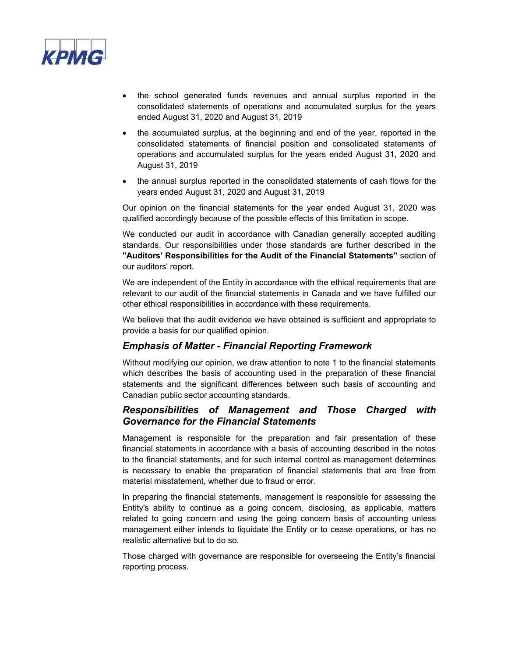

- the school generated funds revenues and annual surplus reported in the consolidated statements of operations and accumulated surplus for the years ended August 31, 2020 and August 31, 2019
- the accumulated surplus, at the beginning and end of the year, reported in the consolidated statements of financial position and consolidated statements of operations and accumulated surplus for the years ended August 31, 2020 and August 31, 2019
- the annual surplus reported in the consolidated statements of cash flows for the years ended August 31, 2020 and August 31, 2019

Our opinion on the financial statements for the year ended August 31, 2020 was qualified accordingly because of the possible effects of this limitation in scope.

We conducted our audit in accordance with Canadian generally accepted auditing standards. Our responsibilities under those standards are further described in the **''Auditors' Responsibilities for the Audit of the Financial Statements''** section of our auditors' report.

We are independent of the Entity in accordance with the ethical requirements that are relevant to our audit of the financial statements in Canada and we have fulfilled our other ethical responsibilities in accordance with these requirements.

We believe that the audit evidence we have obtained is sufficient and appropriate to provide a basis for our qualified opinion.

### *Emphasis of Matter - Financial Reporting Framework*

Without modifying our opinion, we draw attention to note 1 to the financial statements which describes the basis of accounting used in the preparation of these financial statements and the significant differences between such basis of accounting and Canadian public sector accounting standards.

#### *Responsibilities of Management and Those Charged with Governance for the Financial Statements*

Management is responsible for the preparation and fair presentation of these financial statements in accordance with a basis of accounting described in the notes to the financial statements, and for such internal control as management determines is necessary to enable the preparation of financial statements that are free from material misstatement, whether due to fraud or error.

In preparing the financial statements, management is responsible for assessing the Entity's ability to continue as a going concern, disclosing, as applicable, matters related to going concern and using the going concern basis of accounting unless management either intends to liquidate the Entity or to cease operations, or has no realistic alternative but to do so.

Those charged with governance are responsible for overseeing the Entity's financial reporting process.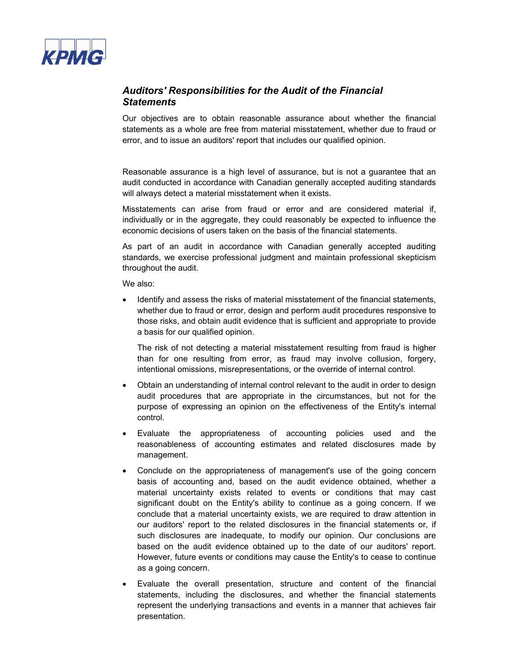

### *Auditors' Responsibilities for the Audit of the Financial Statements*

Our objectives are to obtain reasonable assurance about whether the financial statements as a whole are free from material misstatement, whether due to fraud or error, and to issue an auditors' report that includes our qualified opinion.

Reasonable assurance is a high level of assurance, but is not a guarantee that an audit conducted in accordance with Canadian generally accepted auditing standards will always detect a material misstatement when it exists.

Misstatements can arise from fraud or error and are considered material if, individually or in the aggregate, they could reasonably be expected to influence the economic decisions of users taken on the basis of the financial statements.

As part of an audit in accordance with Canadian generally accepted auditing standards, we exercise professional judgment and maintain professional skepticism throughout the audit.

We also:

 Identify and assess the risks of material misstatement of the financial statements, whether due to fraud or error, design and perform audit procedures responsive to those risks, and obtain audit evidence that is sufficient and appropriate to provide a basis for our qualified opinion.

The risk of not detecting a material misstatement resulting from fraud is higher than for one resulting from error, as fraud may involve collusion, forgery, intentional omissions, misrepresentations, or the override of internal control.

- Obtain an understanding of internal control relevant to the audit in order to design audit procedures that are appropriate in the circumstances, but not for the purpose of expressing an opinion on the effectiveness of the Entity's internal control.
- Evaluate the appropriateness of accounting policies used and the reasonableness of accounting estimates and related disclosures made by management.
- Conclude on the appropriateness of management's use of the going concern basis of accounting and, based on the audit evidence obtained, whether a material uncertainty exists related to events or conditions that may cast significant doubt on the Entity's ability to continue as a going concern. If we conclude that a material uncertainty exists, we are required to draw attention in our auditors' report to the related disclosures in the financial statements or, if such disclosures are inadequate, to modify our opinion. Our conclusions are based on the audit evidence obtained up to the date of our auditors' report. However, future events or conditions may cause the Entity's to cease to continue as a going concern.
- Evaluate the overall presentation, structure and content of the financial statements, including the disclosures, and whether the financial statements represent the underlying transactions and events in a manner that achieves fair presentation.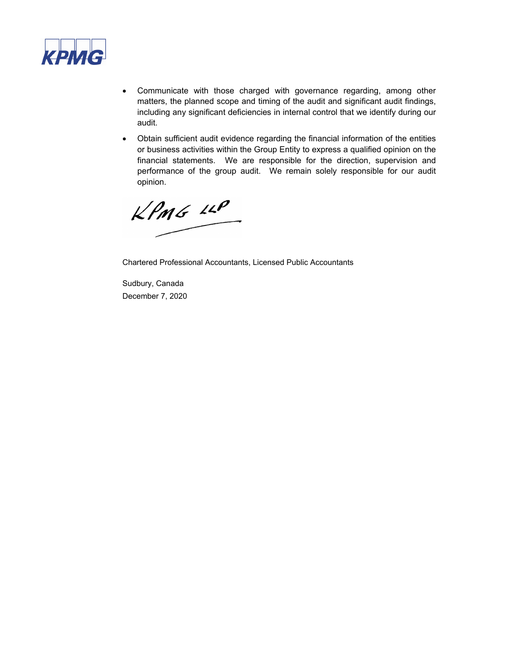

- Communicate with those charged with governance regarding, among other matters, the planned scope and timing of the audit and significant audit findings, including any significant deficiencies in internal control that we identify during our audit.
- Obtain sufficient audit evidence regarding the financial information of the entities or business activities within the Group Entity to express a qualified opinion on the financial statements. We are responsible for the direction, supervision and performance of the group audit. We remain solely responsible for our audit opinion.

 $KPMG$  14P

Chartered Professional Accountants, Licensed Public Accountants

Sudbury, Canada December 7, 2020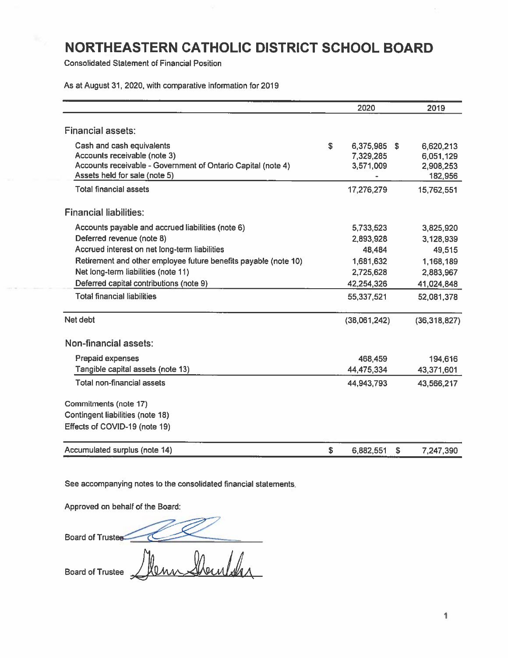**Consolidated Statement of Financial Position** 

As at August 31, 2020, with comparative information for 2019

|                                                                 | 2020              | 2019            |
|-----------------------------------------------------------------|-------------------|-----------------|
|                                                                 |                   |                 |
| <b>Financial assets:</b>                                        |                   |                 |
| Cash and cash equivalents                                       | S<br>6,375,985 \$ | 6,620,213       |
| Accounts receivable (note 3)                                    | 7,329,285         | 6,051,129       |
| Accounts receivable - Government of Ontario Capital (note 4)    | 3,571,009         | 2,908,253       |
| Assets held for sale (note 5)                                   |                   | 182,956         |
| <b>Total financial assets</b>                                   | 17,276,279        | 15,762,551      |
| <b>Financial liabilities:</b>                                   |                   |                 |
| Accounts payable and accrued liabilities (note 6)               | 5,733,523         | 3,825,920       |
| Deferred revenue (note 8)                                       | 2,893,928         | 3,128,939       |
| Accrued interest on net long-term liabilities                   | 48,484            | 49,515          |
| Retirement and other employee future benefits payable (note 10) | 1,681,632         | 1,168,189       |
| Net long-term liabilities (note 11)                             | 2,725,628         | 2,883,967       |
| Deferred capital contributions (note 9)                         | 42,254,326        | 41,024,848      |
| <b>Total financial liabilities</b>                              | 55,337,521        | 52,081,378      |
| Net debt                                                        | (38,061,242)      | (36, 318, 827)  |
| Non-financial assets:                                           |                   |                 |
| Prepaid expenses                                                | 468,459           | 194,616         |
| Tangible capital assets (note 13)                               | 44,475,334        | 43,371,601      |
| Total non-financial assets                                      | 44,943,793        | 43,566,217      |
| Commitments (note 17)                                           |                   |                 |
| Contingent liabilities (note 18)                                |                   |                 |
| Effects of COVID-19 (note 19)                                   |                   |                 |
| Accumulated surplus (note 14)                                   | \$<br>6,882,551   | \$<br>7,247,390 |

See accompanying notes to the consolidated financial statements.

Approved on behalf of the Board:

Board of Trustee

Jem Shewlohr

**Board of Trustee**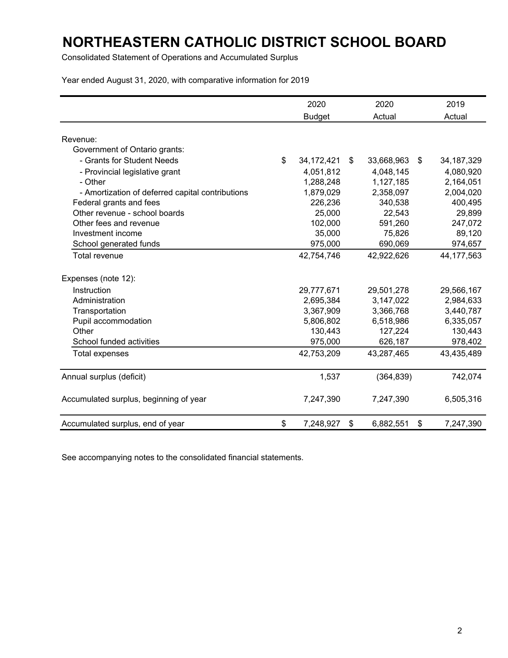Consolidated Statement of Operations and Accumulated Surplus

Year ended August 31, 2020, with comparative information for 2019

|                                                  | 2020             | 2020             | 2019               |
|--------------------------------------------------|------------------|------------------|--------------------|
|                                                  | <b>Budget</b>    | Actual           | Actual             |
|                                                  |                  |                  |                    |
| Revenue:                                         |                  |                  |                    |
| Government of Ontario grants:                    |                  |                  |                    |
| - Grants for Student Needs                       | \$<br>34,172,421 | \$<br>33,668,963 | \$<br>34, 187, 329 |
| - Provincial legislative grant                   | 4,051,812        | 4,048,145        | 4,080,920          |
| - Other                                          | 1,288,248        | 1,127,185        | 2,164,051          |
| - Amortization of deferred capital contributions | 1,879,029        | 2,358,097        | 2,004,020          |
| Federal grants and fees                          | 226,236          | 340,538          | 400,495            |
| Other revenue - school boards                    | 25,000           | 22,543           | 29,899             |
| Other fees and revenue                           | 102,000          | 591,260          | 247,072            |
| Investment income                                | 35,000           | 75,826           | 89,120             |
| School generated funds                           | 975,000          | 690,069          | 974,657            |
| Total revenue                                    | 42,754,746       | 42,922,626       | 44,177,563         |
| Expenses (note 12):                              |                  |                  |                    |
| Instruction                                      | 29,777,671       | 29,501,278       | 29,566,167         |
| Administration                                   | 2,695,384        | 3,147,022        | 2,984,633          |
| Transportation                                   | 3,367,909        | 3,366,768        | 3,440,787          |
| Pupil accommodation                              | 5,806,802        | 6,518,986        | 6,335,057          |
| Other                                            | 130,443          | 127,224          | 130,443            |
| School funded activities                         | 975,000          | 626,187          | 978,402            |
| Total expenses                                   | 42,753,209       | 43,287,465       | 43,435,489         |
| Annual surplus (deficit)                         | 1,537            | (364, 839)       | 742,074            |
| Accumulated surplus, beginning of year           | 7,247,390        | 7,247,390        | 6,505,316          |
| Accumulated surplus, end of year                 | \$<br>7,248,927  | \$<br>6,882,551  | \$<br>7,247,390    |

See accompanying notes to the consolidated financial statements.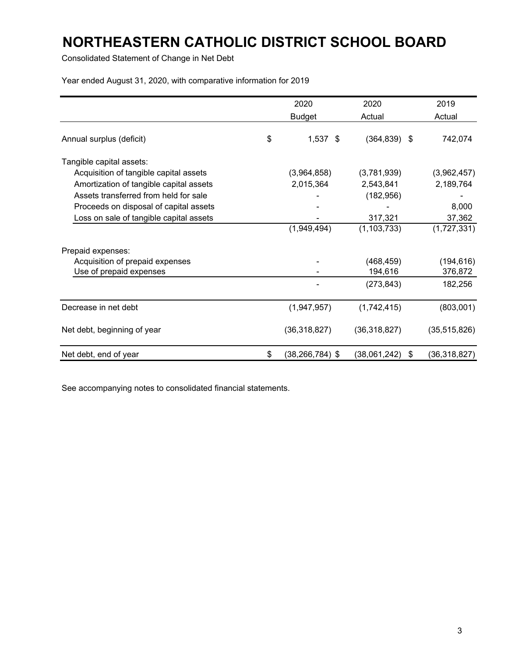Consolidated Statement of Change in Net Debt

Year ended August 31, 2020, with comparative information for 2019

|                                         | 2020                      | 2020               | 2019           |
|-----------------------------------------|---------------------------|--------------------|----------------|
|                                         | <b>Budget</b>             | Actual             | Actual         |
| Annual surplus (deficit)                | \$<br>$1,537$ \$          | $(364, 839)$ \$    | 742,074        |
| Tangible capital assets:                |                           |                    |                |
| Acquisition of tangible capital assets  | (3,964,858)               | (3,781,939)        | (3,962,457)    |
| Amortization of tangible capital assets | 2,015,364                 | 2,543,841          | 2,189,764      |
| Assets transferred from held for sale   |                           | (182, 956)         |                |
| Proceeds on disposal of capital assets  |                           |                    | 8,000          |
| Loss on sale of tangible capital assets |                           | 317,321            | 37,362         |
|                                         | (1,949,494)               | (1, 103, 733)      | (1,727,331)    |
| Prepaid expenses:                       |                           |                    |                |
| Acquisition of prepaid expenses         |                           | (468, 459)         | (194, 616)     |
| Use of prepaid expenses                 |                           | 194,616            | 376,872        |
|                                         |                           | (273, 843)         | 182,256        |
| Decrease in net debt                    | (1,947,957)               | (1,742,415)        | (803,001)      |
| Net debt, beginning of year             | (36, 318, 827)            | (36, 318, 827)     | (35,515,826)   |
| Net debt, end of year                   | \$<br>$(38, 266, 784)$ \$ | (38,061,242)<br>S. | (36, 318, 827) |

See accompanying notes to consolidated financial statements.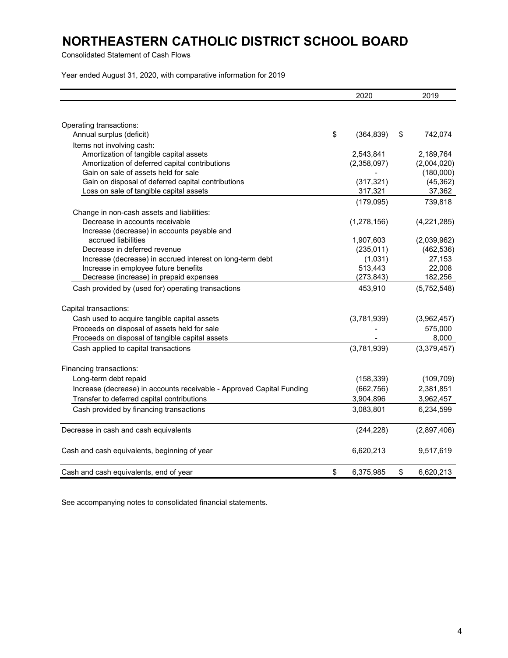Consolidated Statement of Cash Flows

Year ended August 31, 2020, with comparative information for 2019

|                                                                       | 2020             | 2019            |
|-----------------------------------------------------------------------|------------------|-----------------|
|                                                                       |                  |                 |
|                                                                       |                  |                 |
| Operating transactions:<br>Annual surplus (deficit)                   | \$<br>(364, 839) | \$<br>742,074   |
| Items not involving cash:                                             |                  |                 |
| Amortization of tangible capital assets                               | 2,543,841        | 2,189,764       |
| Amortization of deferred capital contributions                        | (2,358,097)      | (2,004,020)     |
| Gain on sale of assets held for sale                                  |                  | (180,000)       |
| Gain on disposal of deferred capital contributions                    | (317, 321)       | (45, 362)       |
| Loss on sale of tangible capital assets                               | 317,321          | 37,362          |
|                                                                       | (179, 095)       | 739,818         |
| Change in non-cash assets and liabilities:                            |                  |                 |
| Decrease in accounts receivable                                       | (1, 278, 156)    | (4,221,285)     |
| Increase (decrease) in accounts payable and                           |                  |                 |
| accrued liabilities                                                   | 1,907,603        | (2,039,962)     |
| Decrease in deferred revenue                                          | (235, 011)       | (462, 536)      |
| Increase (decrease) in accrued interest on long-term debt             | (1,031)          | 27,153          |
| Increase in employee future benefits                                  | 513,443          | 22,008          |
| Decrease (increase) in prepaid expenses                               | (273, 843)       | 182,256         |
| Cash provided by (used for) operating transactions                    | 453,910          | (5,752,548)     |
| Capital transactions:                                                 |                  |                 |
| Cash used to acquire tangible capital assets                          | (3,781,939)      | (3,962,457)     |
| Proceeds on disposal of assets held for sale                          |                  | 575,000         |
| Proceeds on disposal of tangible capital assets                       |                  | 8,000           |
| Cash applied to capital transactions                                  | (3,781,939)      | (3,379,457)     |
| Financing transactions:                                               |                  |                 |
| Long-term debt repaid                                                 | (158, 339)       | (109, 709)      |
| Increase (decrease) in accounts receivable - Approved Capital Funding | (662, 756)       | 2,381,851       |
| Transfer to deferred capital contributions                            | 3,904,896        | 3,962,457       |
| Cash provided by financing transactions                               | 3,083,801        | 6,234,599       |
|                                                                       |                  |                 |
| Decrease in cash and cash equivalents                                 | (244, 228)       | (2,897,406)     |
| Cash and cash equivalents, beginning of year                          | 6,620,213        | 9,517,619       |
| Cash and cash equivalents, end of year                                | \$<br>6,375,985  | \$<br>6,620,213 |

See accompanying notes to consolidated financial statements.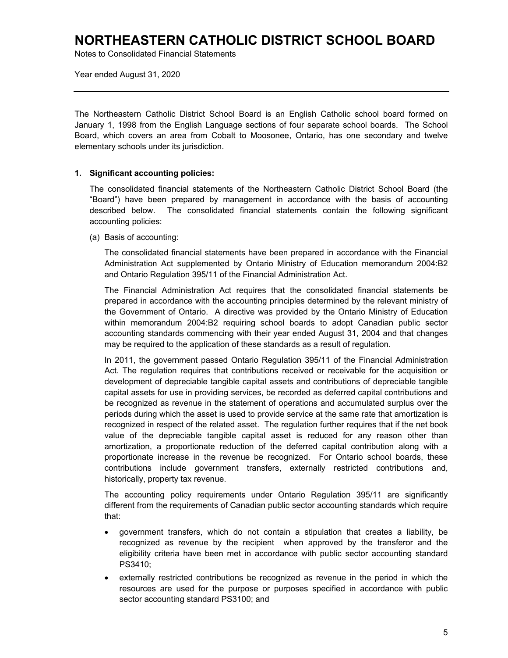Notes to Consolidated Financial Statements

Year ended August 31, 2020

The Northeastern Catholic District School Board is an English Catholic school board formed on January 1, 1998 from the English Language sections of four separate school boards. The School Board, which covers an area from Cobalt to Moosonee, Ontario, has one secondary and twelve elementary schools under its jurisdiction.

#### **1. Significant accounting policies:**

The consolidated financial statements of the Northeastern Catholic District School Board (the "Board") have been prepared by management in accordance with the basis of accounting described below. The consolidated financial statements contain the following significant accounting policies:

(a) Basis of accounting:

The consolidated financial statements have been prepared in accordance with the Financial Administration Act supplemented by Ontario Ministry of Education memorandum 2004:B2 and Ontario Regulation 395/11 of the Financial Administration Act.

The Financial Administration Act requires that the consolidated financial statements be prepared in accordance with the accounting principles determined by the relevant ministry of the Government of Ontario. A directive was provided by the Ontario Ministry of Education within memorandum 2004:B2 requiring school boards to adopt Canadian public sector accounting standards commencing with their year ended August 31, 2004 and that changes may be required to the application of these standards as a result of regulation.

In 2011, the government passed Ontario Regulation 395/11 of the Financial Administration Act. The regulation requires that contributions received or receivable for the acquisition or development of depreciable tangible capital assets and contributions of depreciable tangible capital assets for use in providing services, be recorded as deferred capital contributions and be recognized as revenue in the statement of operations and accumulated surplus over the periods during which the asset is used to provide service at the same rate that amortization is recognized in respect of the related asset. The regulation further requires that if the net book value of the depreciable tangible capital asset is reduced for any reason other than amortization, a proportionate reduction of the deferred capital contribution along with a proportionate increase in the revenue be recognized. For Ontario school boards, these contributions include government transfers, externally restricted contributions and, historically, property tax revenue.

The accounting policy requirements under Ontario Regulation 395/11 are significantly different from the requirements of Canadian public sector accounting standards which require that:

- government transfers, which do not contain a stipulation that creates a liability, be recognized as revenue by the recipient when approved by the transferor and the eligibility criteria have been met in accordance with public sector accounting standard PS3410;
- externally restricted contributions be recognized as revenue in the period in which the resources are used for the purpose or purposes specified in accordance with public sector accounting standard PS3100; and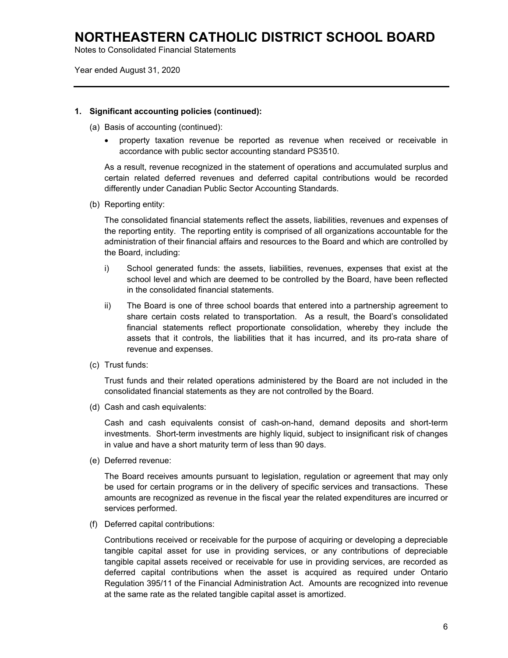Notes to Consolidated Financial Statements

Year ended August 31, 2020

#### **1. Significant accounting policies (continued):**

- (a) Basis of accounting (continued):
	- property taxation revenue be reported as revenue when received or receivable in accordance with public sector accounting standard PS3510.

As a result, revenue recognized in the statement of operations and accumulated surplus and certain related deferred revenues and deferred capital contributions would be recorded differently under Canadian Public Sector Accounting Standards.

(b) Reporting entity:

The consolidated financial statements reflect the assets, liabilities, revenues and expenses of the reporting entity. The reporting entity is comprised of all organizations accountable for the administration of their financial affairs and resources to the Board and which are controlled by the Board, including:

- i) School generated funds: the assets, liabilities, revenues, expenses that exist at the school level and which are deemed to be controlled by the Board, have been reflected in the consolidated financial statements.
- ii) The Board is one of three school boards that entered into a partnership agreement to share certain costs related to transportation. As a result, the Board's consolidated financial statements reflect proportionate consolidation, whereby they include the assets that it controls, the liabilities that it has incurred, and its pro-rata share of revenue and expenses.
- (c) Trust funds:

Trust funds and their related operations administered by the Board are not included in the consolidated financial statements as they are not controlled by the Board.

(d) Cash and cash equivalents:

Cash and cash equivalents consist of cash-on-hand, demand deposits and short-term investments. Short-term investments are highly liquid, subject to insignificant risk of changes in value and have a short maturity term of less than 90 days.

(e) Deferred revenue:

The Board receives amounts pursuant to legislation, regulation or agreement that may only be used for certain programs or in the delivery of specific services and transactions. These amounts are recognized as revenue in the fiscal year the related expenditures are incurred or services performed.

(f) Deferred capital contributions:

Contributions received or receivable for the purpose of acquiring or developing a depreciable tangible capital asset for use in providing services, or any contributions of depreciable tangible capital assets received or receivable for use in providing services, are recorded as deferred capital contributions when the asset is acquired as required under Ontario Regulation 395/11 of the Financial Administration Act. Amounts are recognized into revenue at the same rate as the related tangible capital asset is amortized.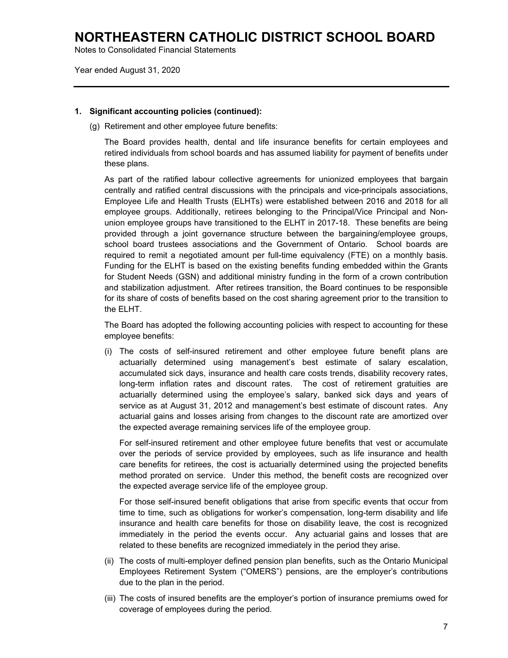Notes to Consolidated Financial Statements

Year ended August 31, 2020

#### **1. Significant accounting policies (continued):**

(g) Retirement and other employee future benefits:

The Board provides health, dental and life insurance benefits for certain employees and retired individuals from school boards and has assumed liability for payment of benefits under these plans.

As part of the ratified labour collective agreements for unionized employees that bargain centrally and ratified central discussions with the principals and vice-principals associations, Employee Life and Health Trusts (ELHTs) were established between 2016 and 2018 for all employee groups. Additionally, retirees belonging to the Principal/Vice Principal and Nonunion employee groups have transitioned to the ELHT in 2017-18. These benefits are being provided through a joint governance structure between the bargaining/employee groups, school board trustees associations and the Government of Ontario. School boards are required to remit a negotiated amount per full-time equivalency (FTE) on a monthly basis. Funding for the ELHT is based on the existing benefits funding embedded within the Grants for Student Needs (GSN) and additional ministry funding in the form of a crown contribution and stabilization adjustment. After retirees transition, the Board continues to be responsible for its share of costs of benefits based on the cost sharing agreement prior to the transition to the ELHT.

The Board has adopted the following accounting policies with respect to accounting for these employee benefits:

(i) The costs of self-insured retirement and other employee future benefit plans are actuarially determined using management's best estimate of salary escalation, accumulated sick days, insurance and health care costs trends, disability recovery rates, long-term inflation rates and discount rates. The cost of retirement gratuities are actuarially determined using the employee's salary, banked sick days and years of service as at August 31, 2012 and management's best estimate of discount rates. Any actuarial gains and losses arising from changes to the discount rate are amortized over the expected average remaining services life of the employee group.

For self-insured retirement and other employee future benefits that vest or accumulate over the periods of service provided by employees, such as life insurance and health care benefits for retirees, the cost is actuarially determined using the projected benefits method prorated on service. Under this method, the benefit costs are recognized over the expected average service life of the employee group.

For those self-insured benefit obligations that arise from specific events that occur from time to time, such as obligations for worker's compensation, long-term disability and life insurance and health care benefits for those on disability leave, the cost is recognized immediately in the period the events occur. Any actuarial gains and losses that are related to these benefits are recognized immediately in the period they arise.

- (ii) The costs of multi-employer defined pension plan benefits, such as the Ontario Municipal Employees Retirement System ("OMERS") pensions, are the employer's contributions due to the plan in the period.
- (iii) The costs of insured benefits are the employer's portion of insurance premiums owed for coverage of employees during the period.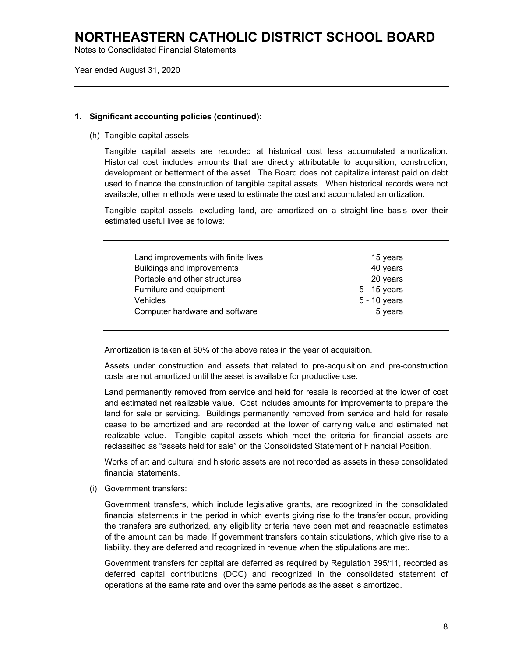Notes to Consolidated Financial Statements

Year ended August 31, 2020

#### **1. Significant accounting policies (continued):**

(h) Tangible capital assets:

Tangible capital assets are recorded at historical cost less accumulated amortization. Historical cost includes amounts that are directly attributable to acquisition, construction, development or betterment of the asset. The Board does not capitalize interest paid on debt used to finance the construction of tangible capital assets. When historical records were not available, other methods were used to estimate the cost and accumulated amortization.

Tangible capital assets, excluding land, are amortized on a straight-line basis over their estimated useful lives as follows:

| 15 years     |
|--------------|
| 40 years     |
| 20 years     |
| 5 - 15 years |
| 5 - 10 years |
| 5 years      |
|              |

Amortization is taken at 50% of the above rates in the year of acquisition.

Assets under construction and assets that related to pre-acquisition and pre-construction costs are not amortized until the asset is available for productive use.

Land permanently removed from service and held for resale is recorded at the lower of cost and estimated net realizable value. Cost includes amounts for improvements to prepare the land for sale or servicing. Buildings permanently removed from service and held for resale cease to be amortized and are recorded at the lower of carrying value and estimated net realizable value. Tangible capital assets which meet the criteria for financial assets are reclassified as "assets held for sale" on the Consolidated Statement of Financial Position.

Works of art and cultural and historic assets are not recorded as assets in these consolidated financial statements.

(i) Government transfers:

Government transfers, which include legislative grants, are recognized in the consolidated financial statements in the period in which events giving rise to the transfer occur, providing the transfers are authorized, any eligibility criteria have been met and reasonable estimates of the amount can be made. If government transfers contain stipulations, which give rise to a liability, they are deferred and recognized in revenue when the stipulations are met.

Government transfers for capital are deferred as required by Regulation 395/11, recorded as deferred capital contributions (DCC) and recognized in the consolidated statement of operations at the same rate and over the same periods as the asset is amortized.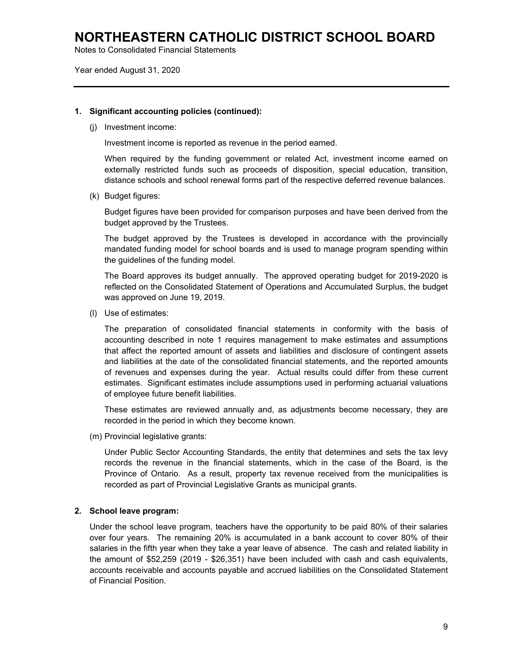Notes to Consolidated Financial Statements

Year ended August 31, 2020

#### **1. Significant accounting policies (continued):**

(j) Investment income:

Investment income is reported as revenue in the period earned.

When required by the funding government or related Act, investment income earned on externally restricted funds such as proceeds of disposition, special education, transition, distance schools and school renewal forms part of the respective deferred revenue balances.

(k) Budget figures:

Budget figures have been provided for comparison purposes and have been derived from the budget approved by the Trustees.

The budget approved by the Trustees is developed in accordance with the provincially mandated funding model for school boards and is used to manage program spending within the guidelines of the funding model.

The Board approves its budget annually. The approved operating budget for 2019-2020 is reflected on the Consolidated Statement of Operations and Accumulated Surplus, the budget was approved on June 19, 2019.

(l) Use of estimates:

The preparation of consolidated financial statements in conformity with the basis of accounting described in note 1 requires management to make estimates and assumptions that affect the reported amount of assets and liabilities and disclosure of contingent assets and liabilities at the date of the consolidated financial statements, and the reported amounts of revenues and expenses during the year. Actual results could differ from these current estimates. Significant estimates include assumptions used in performing actuarial valuations of employee future benefit liabilities.

These estimates are reviewed annually and, as adjustments become necessary, they are recorded in the period in which they become known.

(m) Provincial legislative grants:

Under Public Sector Accounting Standards, the entity that determines and sets the tax levy records the revenue in the financial statements, which in the case of the Board, is the Province of Ontario. As a result, property tax revenue received from the municipalities is recorded as part of Provincial Legislative Grants as municipal grants.

#### **2. School leave program:**

Under the school leave program, teachers have the opportunity to be paid 80% of their salaries over four years. The remaining 20% is accumulated in a bank account to cover 80% of their salaries in the fifth year when they take a year leave of absence. The cash and related liability in the amount of \$52,259 (2019 - \$26,351) have been included with cash and cash equivalents, accounts receivable and accounts payable and accrued liabilities on the Consolidated Statement of Financial Position.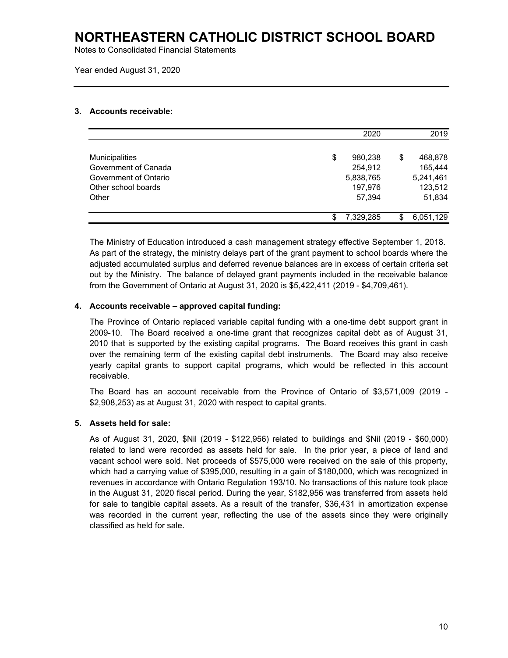Notes to Consolidated Financial Statements

Year ended August 31, 2020

#### **3. Accounts receivable:**

|                       |    | 2020      |     | 2019      |
|-----------------------|----|-----------|-----|-----------|
| Municipalities        | \$ | 980,238   | \$  | 468,878   |
| Government of Canada  |    | 254,912   |     | 165,444   |
| Government of Ontario |    | 5,838,765 |     | 5,241,461 |
| Other school boards   |    | 197,976   |     | 123,512   |
| Other                 |    | 57,394    |     | 51,834    |
|                       | S  | 7.329.285 | \$. | 6,051,129 |

The Ministry of Education introduced a cash management strategy effective September 1, 2018. As part of the strategy, the ministry delays part of the grant payment to school boards where the adjusted accumulated surplus and deferred revenue balances are in excess of certain criteria set out by the Ministry. The balance of delayed grant payments included in the receivable balance from the Government of Ontario at August 31, 2020 is \$5,422,411 (2019 - \$4,709,461).

#### **4. Accounts receivable – approved capital funding:**

The Province of Ontario replaced variable capital funding with a one-time debt support grant in 2009-10. The Board received a one-time grant that recognizes capital debt as of August 31, 2010 that is supported by the existing capital programs. The Board receives this grant in cash over the remaining term of the existing capital debt instruments. The Board may also receive yearly capital grants to support capital programs, which would be reflected in this account receivable.

The Board has an account receivable from the Province of Ontario of \$3,571,009 (2019 - \$2,908,253) as at August 31, 2020 with respect to capital grants.

#### **5. Assets held for sale:**

As of August 31, 2020, \$Nil (2019 - \$122,956) related to buildings and \$Nil (2019 - \$60,000) related to land were recorded as assets held for sale. In the prior year, a piece of land and vacant school were sold. Net proceeds of \$575,000 were received on the sale of this property, which had a carrying value of \$395,000, resulting in a gain of \$180,000, which was recognized in revenues in accordance with Ontario Regulation 193/10. No transactions of this nature took place in the August 31, 2020 fiscal period. During the year, \$182,956 was transferred from assets held for sale to tangible capital assets. As a result of the transfer, \$36,431 in amortization expense was recorded in the current year, reflecting the use of the assets since they were originally classified as held for sale.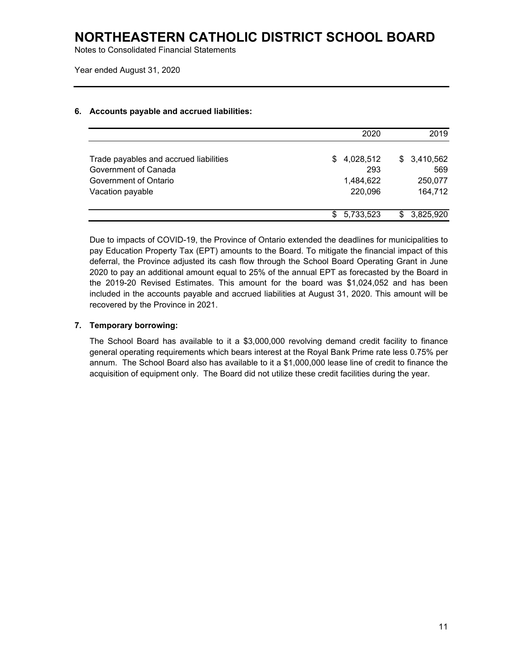Notes to Consolidated Financial Statements

Year ended August 31, 2020

|                                        | 2020            | 2019           |
|----------------------------------------|-----------------|----------------|
|                                        |                 |                |
| Trade payables and accrued liabilities | 4,028,512<br>S. | \$3,410,562    |
| Government of Canada                   | 293             | 569            |
| Government of Ontario                  | 1,484,622       | 250,077        |
| Vacation payable                       | 220,096         | 164,712        |
|                                        |                 |                |
|                                        | 5,733,523       | 3,825,920<br>S |

#### **6. Accounts payable and accrued liabilities:**

Due to impacts of COVID-19, the Province of Ontario extended the deadlines for municipalities to pay Education Property Tax (EPT) amounts to the Board. To mitigate the financial impact of this deferral, the Province adjusted its cash flow through the School Board Operating Grant in June 2020 to pay an additional amount equal to 25% of the annual EPT as forecasted by the Board in the 2019-20 Revised Estimates. This amount for the board was \$1,024,052 and has been included in the accounts payable and accrued liabilities at August 31, 2020. This amount will be recovered by the Province in 2021.

#### **7. Temporary borrowing:**

The School Board has available to it a \$3,000,000 revolving demand credit facility to finance general operating requirements which bears interest at the Royal Bank Prime rate less 0.75% per annum. The School Board also has available to it a \$1,000,000 lease line of credit to finance the acquisition of equipment only. The Board did not utilize these credit facilities during the year.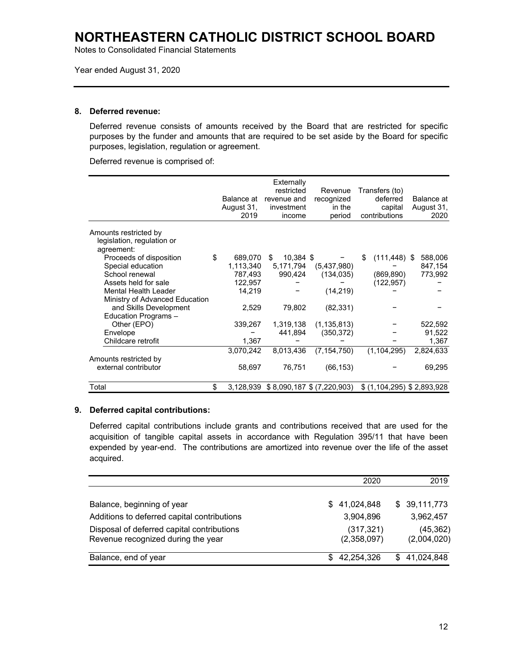Notes to Consolidated Financial Statements

Year ended August 31, 2020

#### **8. Deferred revenue:**

Deferred revenue consists of amounts received by the Board that are restricted for specific purposes by the funder and amounts that are required to be set aside by the Board for specific purposes, legislation, regulation or agreement.

Deferred revenue is comprised of:

|                                                                   | Balance at<br>August 31,<br>2019 | Externally<br>restricted<br>revenue and<br>investment<br>income | Revenue<br>recognized<br>in the<br>period | Transfers (to)<br>deferred<br>capital<br>contributions | Balance at<br>August 31,<br>2020 |
|-------------------------------------------------------------------|----------------------------------|-----------------------------------------------------------------|-------------------------------------------|--------------------------------------------------------|----------------------------------|
| Amounts restricted by<br>legislation, regulation or<br>agreement: |                                  |                                                                 |                                           |                                                        |                                  |
| Proceeds of disposition                                           | \$<br>689,070                    | 10,384 \$<br>\$                                                 |                                           | \$<br>$(111, 448)$ \$                                  | 588,006                          |
| Special education                                                 | 1,113,340                        | 5,171,794                                                       | (5,437,980)                               |                                                        | 847,154                          |
| School renewal                                                    | 787,493                          | 990,424                                                         | (134, 035)                                | (869,890)                                              | 773,992                          |
| Assets held for sale                                              | 122,957                          |                                                                 |                                           | (122, 957)                                             |                                  |
| <b>Mental Health Leader</b>                                       | 14,219                           |                                                                 | (14, 219)                                 |                                                        |                                  |
| Ministry of Advanced Education                                    |                                  |                                                                 |                                           |                                                        |                                  |
| and Skills Development                                            | 2,529                            | 79,802                                                          | (82, 331)                                 |                                                        |                                  |
| Education Programs -                                              |                                  |                                                                 |                                           |                                                        |                                  |
| Other (EPO)                                                       | 339,267                          | 1,319,138                                                       | (1, 135, 813)                             |                                                        | 522,592                          |
| Envelope                                                          |                                  | 441,894                                                         | (350, 372)                                |                                                        | 91,522                           |
| Childcare retrofit                                                | 1,367                            |                                                                 |                                           |                                                        | 1,367                            |
|                                                                   | 3,070,242                        | 8,013,436                                                       | (7, 154, 750)                             | (1, 104, 295)                                          | 2,824,633                        |
| Amounts restricted by                                             |                                  |                                                                 |                                           |                                                        |                                  |
| external contributor                                              | 58,697                           | 76,751                                                          | (66, 153)                                 |                                                        | 69,295                           |
|                                                                   |                                  |                                                                 |                                           |                                                        |                                  |
| Total                                                             | \$<br>3,128,939                  |                                                                 | $$8,090,187$ $$ (7,220,903)$              | $$$ (1,104,295) $$$ 2,893,928                          |                                  |

#### **9. Deferred capital contributions:**

Deferred capital contributions include grants and contributions received that are used for the acquisition of tangible capital assets in accordance with Regulation 395/11 that have been expended by year-end. The contributions are amortized into revenue over the life of the asset acquired.

|                                                                                  | 2020                      | 2019                     |
|----------------------------------------------------------------------------------|---------------------------|--------------------------|
| Balance, beginning of year                                                       | \$41,024,848              | \$39,111,773             |
| Additions to deferred capital contributions                                      | 3,904,896                 | 3,962,457                |
| Disposal of deferred capital contributions<br>Revenue recognized during the year | (317, 321)<br>(2,358,097) | (45, 362)<br>(2,004,020) |
| Balance, end of year                                                             | 42,254,326                | 41,024,848               |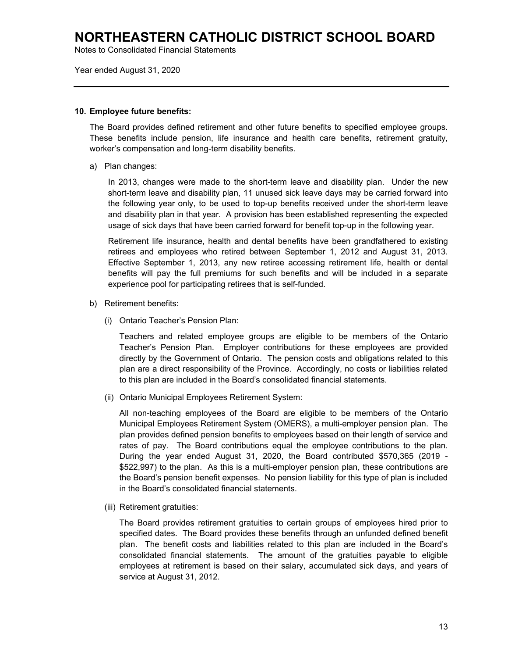Notes to Consolidated Financial Statements

Year ended August 31, 2020

#### **10. Employee future benefits:**

The Board provides defined retirement and other future benefits to specified employee groups. These benefits include pension, life insurance and health care benefits, retirement gratuity, worker's compensation and long-term disability benefits.

a) Plan changes:

In 2013, changes were made to the short-term leave and disability plan. Under the new short-term leave and disability plan, 11 unused sick leave days may be carried forward into the following year only, to be used to top-up benefits received under the short-term leave and disability plan in that year. A provision has been established representing the expected usage of sick days that have been carried forward for benefit top-up in the following year.

Retirement life insurance, health and dental benefits have been grandfathered to existing retirees and employees who retired between September 1, 2012 and August 31, 2013. Effective September 1, 2013, any new retiree accessing retirement life, health or dental benefits will pay the full premiums for such benefits and will be included in a separate experience pool for participating retirees that is self-funded.

- b) Retirement benefits:
	- (i) Ontario Teacher's Pension Plan:

Teachers and related employee groups are eligible to be members of the Ontario Teacher's Pension Plan. Employer contributions for these employees are provided directly by the Government of Ontario. The pension costs and obligations related to this plan are a direct responsibility of the Province. Accordingly, no costs or liabilities related to this plan are included in the Board's consolidated financial statements.

(ii) Ontario Municipal Employees Retirement System:

All non-teaching employees of the Board are eligible to be members of the Ontario Municipal Employees Retirement System (OMERS), a multi-employer pension plan. The plan provides defined pension benefits to employees based on their length of service and rates of pay. The Board contributions equal the employee contributions to the plan. During the year ended August 31, 2020, the Board contributed \$570,365 (2019 - \$522,997) to the plan. As this is a multi-employer pension plan, these contributions are the Board's pension benefit expenses. No pension liability for this type of plan is included in the Board's consolidated financial statements.

(iii) Retirement gratuities:

The Board provides retirement gratuities to certain groups of employees hired prior to specified dates. The Board provides these benefits through an unfunded defined benefit plan. The benefit costs and liabilities related to this plan are included in the Board's consolidated financial statements. The amount of the gratuities payable to eligible employees at retirement is based on their salary, accumulated sick days, and years of service at August 31, 2012.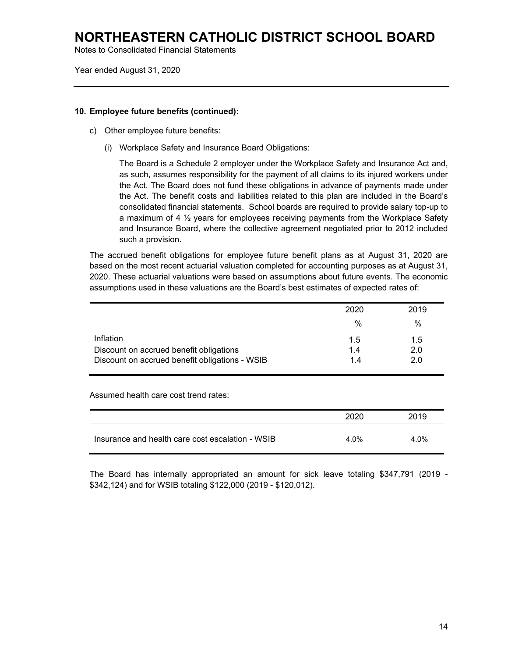Notes to Consolidated Financial Statements

Year ended August 31, 2020

#### **10. Employee future benefits (continued):**

- c) Other employee future benefits:
	- (i) Workplace Safety and Insurance Board Obligations:

The Board is a Schedule 2 employer under the Workplace Safety and Insurance Act and, as such, assumes responsibility for the payment of all claims to its injured workers under the Act. The Board does not fund these obligations in advance of payments made under the Act. The benefit costs and liabilities related to this plan are included in the Board's consolidated financial statements. School boards are required to provide salary top-up to a maximum of 4 ½ years for employees receiving payments from the Workplace Safety and Insurance Board, where the collective agreement negotiated prior to 2012 included such a provision.

The accrued benefit obligations for employee future benefit plans as at August 31, 2020 are based on the most recent actuarial valuation completed for accounting purposes as at August 31, 2020. These actuarial valuations were based on assumptions about future events. The economic assumptions used in these valuations are the Board's best estimates of expected rates of:

|                                                | 2020 | 2019 |
|------------------------------------------------|------|------|
|                                                | $\%$ | $\%$ |
| Inflation                                      | 1.5  | 1.5  |
| Discount on accrued benefit obligations        | 1.4  | 2.0  |
| Discount on accrued benefit obligations - WSIB | 14   | 2 በ  |

Assumed health care cost trend rates:

|                                                  | 2020 | 2019 |
|--------------------------------------------------|------|------|
| Insurance and health care cost escalation - WSIB | 4.0% | 4.0% |

The Board has internally appropriated an amount for sick leave totaling \$347,791 (2019 - \$342,124) and for WSIB totaling \$122,000 (2019 - \$120,012).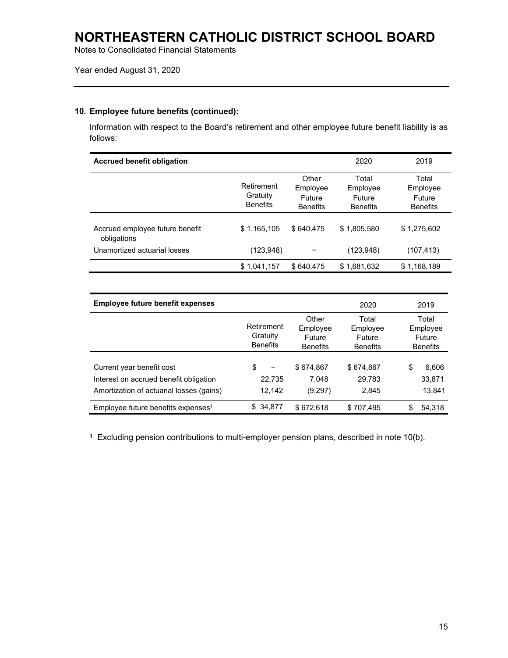Notes to Consolidated Financial Statements

Year ended August 31, 2020

### **10. Employee future benefits (continued):**

Information with respect to the Board's retirement and other employee future benefit liability is as follows:

| <b>Accrued benefit obligation</b>              |                                           |                                                | 2020                                           | 2019                                           |
|------------------------------------------------|-------------------------------------------|------------------------------------------------|------------------------------------------------|------------------------------------------------|
|                                                | Retirement<br>Gratuity<br><b>Benefits</b> | Other<br>Employee<br>Future<br><b>Benefits</b> | Total<br>Employee<br>Future<br><b>Benefits</b> | Total<br>Employee<br>Future<br><b>Benefits</b> |
| Accrued employee future benefit<br>obligations | \$1,165,105                               | \$640.475                                      | \$1,805,580                                    | \$1,275,602                                    |
| Unamortized actuarial losses                   | (123,948)                                 |                                                | (123,948)                                      | (107, 413)                                     |
|                                                | \$1,041,157                               | \$640,475                                      | \$1,681,632                                    | \$1,168,189                                    |

| <b>Employee future benefit expenses</b>                                                                         |                                           |                                                | 2020                                           | 2019                                           |
|-----------------------------------------------------------------------------------------------------------------|-------------------------------------------|------------------------------------------------|------------------------------------------------|------------------------------------------------|
|                                                                                                                 | Retirement<br>Gratuity<br><b>Benefits</b> | Other<br>Employee<br>Future<br><b>Benefits</b> | Total<br>Employee<br>Future<br><b>Benefits</b> | Total<br>Employee<br>Future<br><b>Benefits</b> |
| Current year benefit cost<br>Interest on accrued benefit obligation<br>Amortization of actuarial losses (gains) | \$<br>-<br>22,735<br>12,142               | \$674,867<br>7.048<br>(9,297)                  | \$674,867<br>29,783<br>2,845                   | S<br>6,606<br>33,871<br>13,841                 |
| Employee future benefits expenses <sup>1</sup>                                                                  | \$ 34,877                                 | \$672,618                                      | \$707,495                                      | 54,318                                         |

**1** Excluding pension contributions to multi-employer pension plans, described in note 10(b).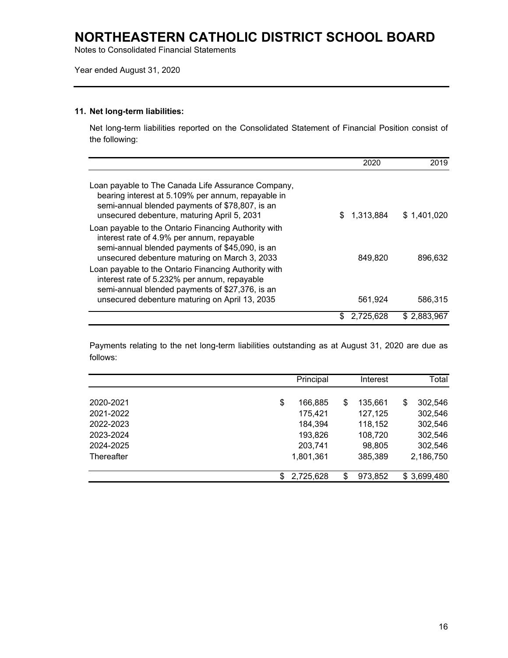Notes to Consolidated Financial Statements

Year ended August 31, 2020

#### **11. Net long-term liabilities:**

Net long-term liabilities reported on the Consolidated Statement of Financial Position consist of the following:

|                                                                                                                                                                                                            |   | 2020      | 2019        |
|------------------------------------------------------------------------------------------------------------------------------------------------------------------------------------------------------------|---|-----------|-------------|
| Loan payable to The Canada Life Assurance Company,<br>bearing interest at 5.109% per annum, repayable in<br>semi-annual blended payments of \$78,807, is an<br>unsecured debenture, maturing April 5, 2031 | S | 1,313,884 | \$1,401,020 |
| Loan payable to the Ontario Financing Authority with<br>interest rate of 4.9% per annum, repayable<br>semi-annual blended payments of \$45,090, is an<br>unsecured debenture maturing on March 3, 2033     |   | 849,820   | 896.632     |
| Loan payable to the Ontario Financing Authority with<br>interest rate of 5.232% per annum, repayable<br>semi-annual blended payments of \$27,376, is an<br>unsecured debenture maturing on April 13, 2035  |   | 561,924   | 586,315     |
|                                                                                                                                                                                                            | S | 2.725.628 | \$2.883.967 |

Payments relating to the net long-term liabilities outstanding as at August 31, 2020 are due as follows:

|            |    | Principal | Interest      | Total         |
|------------|----|-----------|---------------|---------------|
|            |    |           |               |               |
| 2020-2021  | \$ | 166,885   | \$<br>135,661 | \$<br>302,546 |
| 2021-2022  |    | 175,421   | 127,125       | 302,546       |
| 2022-2023  |    | 184,394   | 118,152       | 302,546       |
| 2023-2024  |    | 193,826   | 108,720       | 302,546       |
| 2024-2025  |    | 203,741   | 98,805        | 302,546       |
| Thereafter |    | 1,801,361 | 385,389       | 2,186,750     |
|            | S  | 2,725,628 | 973,852       | \$3,699,480   |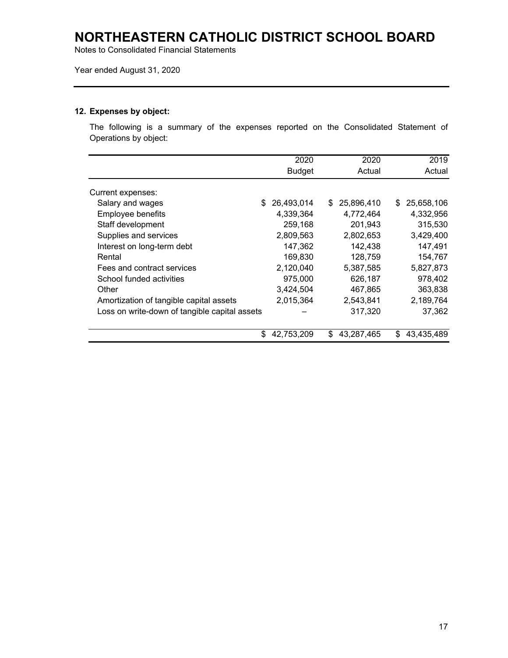Notes to Consolidated Financial Statements

Year ended August 31, 2020

### **12. Expenses by object:**

The following is a summary of the expenses reported on the Consolidated Statement of Operations by object:

|                                               |     | 2020          |     | 2020       |    | 2019       |
|-----------------------------------------------|-----|---------------|-----|------------|----|------------|
|                                               |     | <b>Budget</b> |     | Actual     |    | Actual     |
| Current expenses:                             |     |               |     |            |    |            |
| Salary and wages                              | \$. | 26,493,014    | \$. | 25,896,410 | \$ | 25,658,106 |
| Employee benefits                             |     | 4,339,364     |     | 4,772,464  |    | 4,332,956  |
| Staff development                             |     | 259,168       |     | 201,943    |    | 315,530    |
| Supplies and services                         |     | 2,809,563     |     | 2,802,653  |    | 3,429,400  |
| Interest on long-term debt                    |     | 147,362       |     | 142,438    |    | 147,491    |
| Rental                                        |     | 169,830       |     | 128,759    |    | 154,767    |
| Fees and contract services                    |     | 2,120,040     |     | 5,387,585  |    | 5,827,873  |
| School funded activities                      |     | 975,000       |     | 626,187    |    | 978,402    |
| Other                                         |     | 3,424,504     |     | 467,865    |    | 363,838    |
| Amortization of tangible capital assets       |     | 2,015,364     |     | 2,543,841  |    | 2,189,764  |
| Loss on write-down of tangible capital assets |     |               |     | 317,320    |    | 37,362     |
|                                               |     |               |     |            |    |            |
|                                               | S   | 42,753,209    | S   | 43,287,465 | S  | 43,435,489 |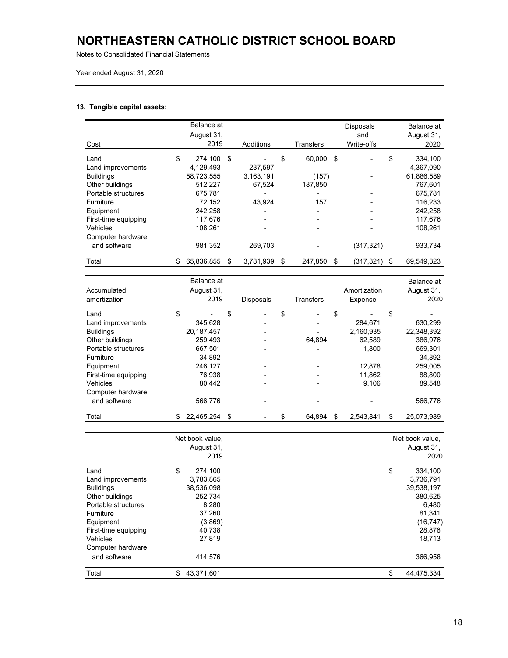Notes to Consolidated Financial Statements

#### Year ended August 31, 2020

#### **13. Tangible capital assets:**

|                      | Balance at<br>August 31, |      |           |                  |      | <b>Disposals</b><br>and | Balance at<br>August 31, |
|----------------------|--------------------------|------|-----------|------------------|------|-------------------------|--------------------------|
| Cost                 | 2019                     |      | Additions | <b>Transfers</b> |      | Write-offs              | 2020                     |
| Land                 | \$<br>274,100            | - \$ |           | \$<br>60.000     | - \$ |                         | \$<br>334,100            |
| Land improvements    | 4.129.493                |      | 237.597   |                  |      |                         | 4,367,090                |
| <b>Buildings</b>     | 58,723,555               |      | 3,163,191 | (157)            |      |                         | 61,886,589               |
| Other buildings      | 512,227                  |      | 67.524    | 187.850          |      |                         | 767.601                  |
| Portable structures  | 675,781                  |      |           |                  |      |                         | 675.781                  |
| Furniture            | 72.152                   |      | 43.924    | 157              |      |                         | 116.233                  |
| Equipment            | 242.258                  |      |           |                  |      |                         | 242.258                  |
| First-time equipping | 117,676                  |      |           |                  |      |                         | 117.676                  |
| <b>Vehicles</b>      | 108.261                  |      |           |                  |      |                         | 108.261                  |
| Computer hardware    |                          |      |           |                  |      |                         |                          |
| and software         | 981,352                  |      | 269,703   |                  |      | (317, 321)              | 933.734                  |
| Total                | \$<br>65,836,855         | \$   | 3,781,939 | \$<br>247,850    | \$   | (317, 321)              | \$<br>69,549,323         |

|                      | Balance at       |                  |                  |                 | Balance at       |
|----------------------|------------------|------------------|------------------|-----------------|------------------|
| Accumulated          | August 31,       |                  |                  | Amortization    | August 31,       |
| amortization         | 2019             | <b>Disposals</b> | <b>Transfers</b> | Expense         | 2020             |
| Land                 | \$               | \$               | \$               | \$              | \$               |
| Land improvements    | 345,628          |                  |                  | 284.671         | 630,299          |
| <b>Buildings</b>     | 20,187,457       |                  |                  | 2,160,935       | 22,348,392       |
| Other buildings      | 259.493          |                  | 64.894           | 62.589          | 386.976          |
| Portable structures  | 667.501          |                  |                  | 1.800           | 669,301          |
| Furniture            | 34.892           |                  |                  |                 | 34,892           |
| Equipment            | 246,127          |                  |                  | 12,878          | 259,005          |
| First-time equipping | 76.938           |                  |                  | 11.862          | 88.800           |
| Vehicles             | 80.442           |                  |                  | 9.106           | 89,548           |
| Computer hardware    |                  |                  |                  |                 |                  |
| and software         | 566,776          |                  |                  |                 | 566,776          |
| Total                | \$<br>22,465,254 | \$               | 64,894           | \$<br>2,543,841 | \$<br>25,073,989 |

|                      | Net book value,    | Net book value,    |
|----------------------|--------------------|--------------------|
|                      | August 31,<br>2019 | August 31,<br>2020 |
| Land                 | \$<br>274,100      | \$<br>334,100      |
| Land improvements    | 3,783,865          | 3,736,791          |
| <b>Buildings</b>     | 38,536,098         | 39,538,197         |
| Other buildings      | 252,734            | 380,625            |
| Portable structures  | 8,280              | 6,480              |
| Furniture            | 37,260             | 81,341             |
| Equipment            | (3,869)            | (16, 747)          |
| First-time equipping | 40,738             | 28,876             |
| Vehicles             | 27.819             | 18,713             |
| Computer hardware    |                    |                    |
| and software         | 414,576            | 366,958            |
| Total                | 43,371,601<br>S    | \$<br>44,475,334   |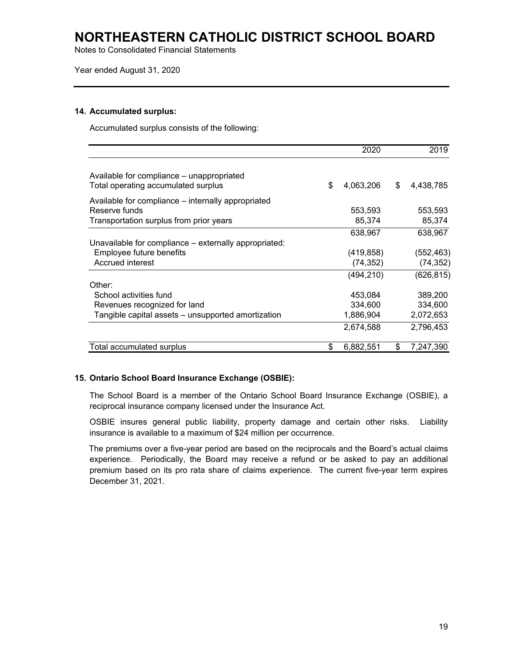Notes to Consolidated Financial Statements

Year ended August 31, 2020

#### **14. Accumulated surplus:**

Accumulated surplus consists of the following:

|                                                                                                                        |    | 2020                            |    | 2019                            |
|------------------------------------------------------------------------------------------------------------------------|----|---------------------------------|----|---------------------------------|
| Available for compliance – unappropriated<br>Total operating accumulated surplus                                       | \$ | 4,063,206                       | \$ | 4,438,785                       |
| Available for compliance – internally appropriated<br>Reserve funds<br>Transportation surplus from prior years         |    | 553,593<br>85,374               |    | 553,593<br>85,374               |
|                                                                                                                        |    | 638,967                         |    | 638,967                         |
| Unavailable for compliance – externally appropriated:<br>Employee future benefits<br><b>Accrued interest</b>           |    | (419, 858)<br>(74, 352)         |    | (552, 463)<br>(74, 352)         |
|                                                                                                                        |    | (494, 210)                      |    | (626, 815)                      |
| Other:<br>School activities fund<br>Revenues recognized for land<br>Tangible capital assets – unsupported amortization |    | 453,084<br>334,600<br>1,886,904 |    | 389,200<br>334,600<br>2,072,653 |
|                                                                                                                        |    | 2,674,588                       |    | 2,796,453                       |
| Total accumulated surplus                                                                                              | S  | 6,882,551                       | S  | 7.247.390                       |

#### **15. Ontario School Board Insurance Exchange (OSBIE):**

The School Board is a member of the Ontario School Board Insurance Exchange (OSBIE), a reciprocal insurance company licensed under the Insurance Act.

OSBIE insures general public liability, property damage and certain other risks. Liability insurance is available to a maximum of \$24 million per occurrence.

The premiums over a five-year period are based on the reciprocals and the Board's actual claims experience. Periodically, the Board may receive a refund or be asked to pay an additional premium based on its pro rata share of claims experience. The current five-year term expires December 31, 2021.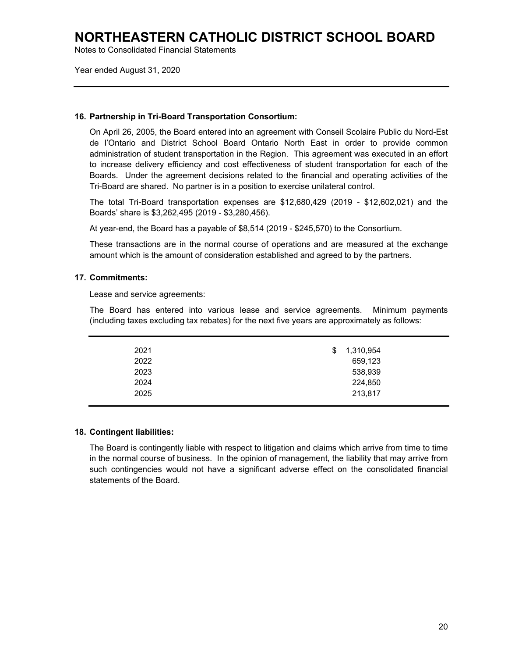Notes to Consolidated Financial Statements

Year ended August 31, 2020

#### **16. Partnership in Tri-Board Transportation Consortium:**

On April 26, 2005, the Board entered into an agreement with Conseil Scolaire Public du Nord-Est de l'Ontario and District School Board Ontario North East in order to provide common administration of student transportation in the Region. This agreement was executed in an effort to increase delivery efficiency and cost effectiveness of student transportation for each of the Boards. Under the agreement decisions related to the financial and operating activities of the Tri-Board are shared. No partner is in a position to exercise unilateral control.

The total Tri-Board transportation expenses are \$12,680,429 (2019 - \$12,602,021) and the Boards' share is \$3,262,495 (2019 - \$3,280,456).

At year-end, the Board has a payable of \$8,514 (2019 - \$245,570) to the Consortium.

These transactions are in the normal course of operations and are measured at the exchange amount which is the amount of consideration established and agreed to by the partners.

#### **17. Commitments:**

Lease and service agreements:

The Board has entered into various lease and service agreements. Minimum payments (including taxes excluding tax rebates) for the next five years are approximately as follows:

| 2021 | 1,310,954<br>\$ |
|------|-----------------|
| 2022 | 659,123         |
| 2023 | 538,939         |
| 2024 | 224,850         |
| 2025 | 213,817         |
|      |                 |

#### **18. Contingent liabilities:**

The Board is contingently liable with respect to litigation and claims which arrive from time to time in the normal course of business. In the opinion of management, the liability that may arrive from such contingencies would not have a significant adverse effect on the consolidated financial statements of the Board.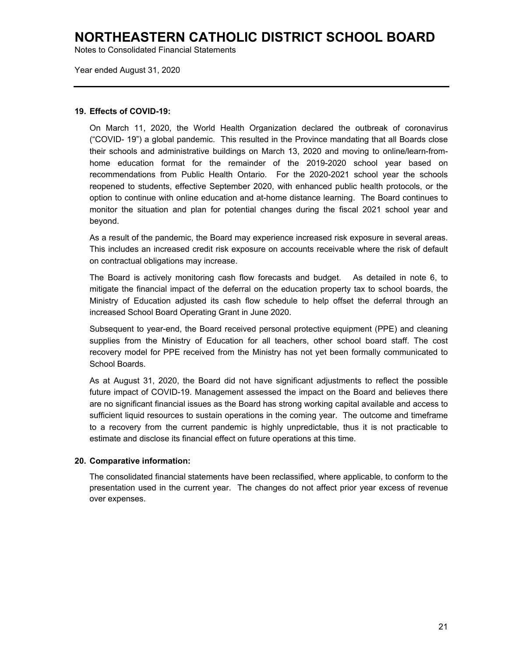Notes to Consolidated Financial Statements

Year ended August 31, 2020

#### **19. Effects of COVID-19:**

On March 11, 2020, the World Health Organization declared the outbreak of coronavirus ("COVID- 19") a global pandemic. This resulted in the Province mandating that all Boards close their schools and administrative buildings on March 13, 2020 and moving to online/learn-fromhome education format for the remainder of the 2019-2020 school year based on recommendations from Public Health Ontario. For the 2020-2021 school year the schools reopened to students, effective September 2020, with enhanced public health protocols, or the option to continue with online education and at-home distance learning. The Board continues to monitor the situation and plan for potential changes during the fiscal 2021 school year and beyond.

As a result of the pandemic, the Board may experience increased risk exposure in several areas. This includes an increased credit risk exposure on accounts receivable where the risk of default on contractual obligations may increase.

The Board is actively monitoring cash flow forecasts and budget. As detailed in note 6, to mitigate the financial impact of the deferral on the education property tax to school boards, the Ministry of Education adjusted its cash flow schedule to help offset the deferral through an increased School Board Operating Grant in June 2020.

Subsequent to year-end, the Board received personal protective equipment (PPE) and cleaning supplies from the Ministry of Education for all teachers, other school board staff. The cost recovery model for PPE received from the Ministry has not yet been formally communicated to School Boards.

As at August 31, 2020, the Board did not have significant adjustments to reflect the possible future impact of COVID-19. Management assessed the impact on the Board and believes there are no significant financial issues as the Board has strong working capital available and access to sufficient liquid resources to sustain operations in the coming year. The outcome and timeframe to a recovery from the current pandemic is highly unpredictable, thus it is not practicable to estimate and disclose its financial effect on future operations at this time.

#### **20. Comparative information:**

The consolidated financial statements have been reclassified, where applicable, to conform to the presentation used in the current year. The changes do not affect prior year excess of revenue over expenses.